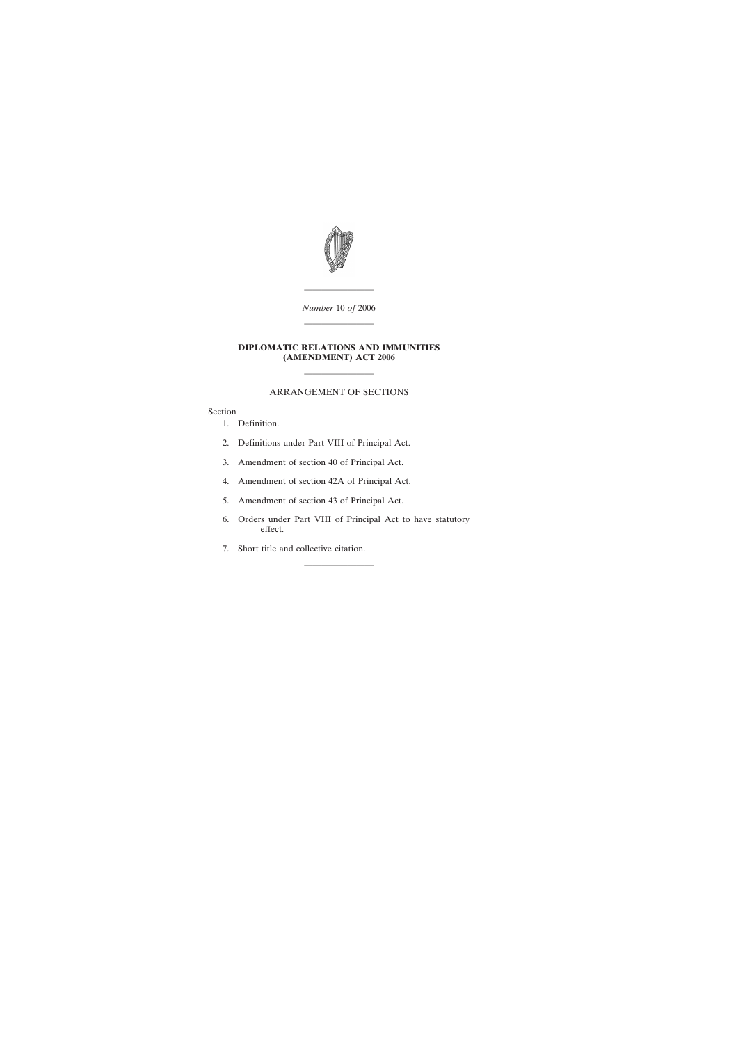

———————— *Number* 10 *of* 2006 ————————

## **DIPLOMATIC RELATIONS AND IMMUNITIES (AMENDMENT) ACT 2006**

# ARRANGEMENT OF SECTIONS

————————

Section

- [1. Definition.](#page-2-0)
- [2. Definitions under Part VIII of Principal Act.](#page-2-0)
- [3. Amendment of section 40 of Principal Act.](#page-2-0)
- [4. Amendment of section 42A of Principal Act.](#page-3-0)
- [5. Amendment of section 43 of Principal Act.](#page-3-0)
- [6. Orders under Part VIII of Principal Act to have statutory](#page-3-0) effect.

————————

[7. Short title and collective citation.](#page-4-0)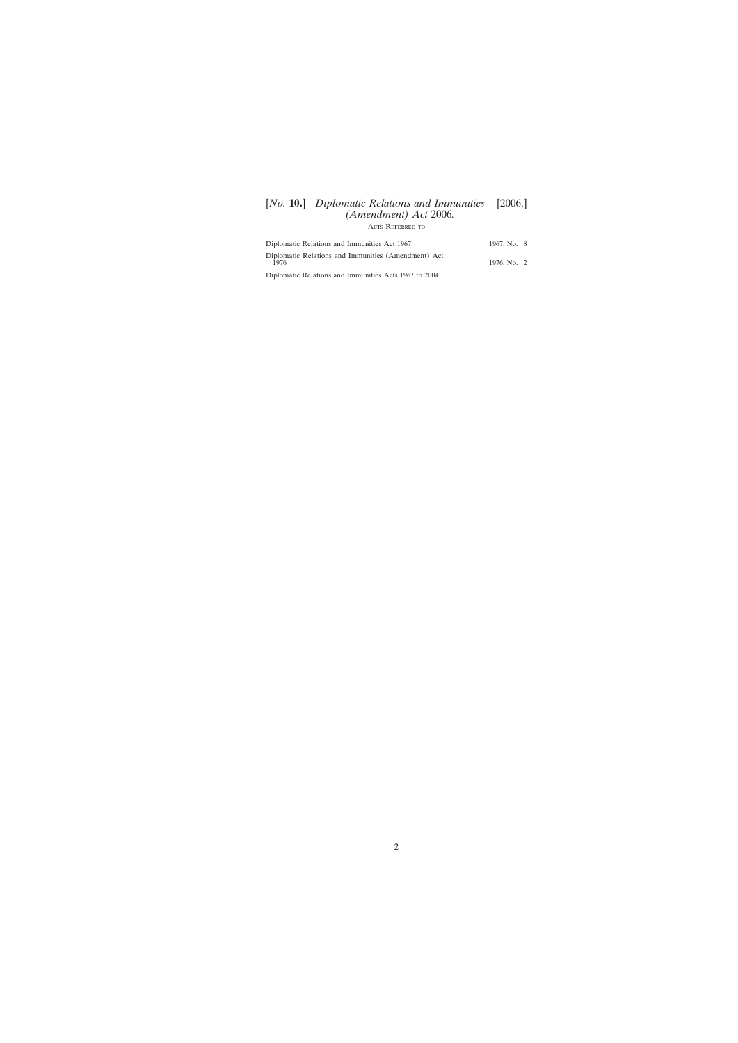# [*No.* **10.**] *Diplomatic Relations and Immunities* [2006.] *(Amendment) Act* 2006*.* Acts Referred to

| Diplomatic Relations and Immunities Act 1967                | 1967, No. 8 |  |
|-------------------------------------------------------------|-------------|--|
| Diplomatic Relations and Immunities (Amendment) Act<br>1976 | 1976, No. 2 |  |
| Diplomatic Relations and Immunities Acts 1967 to 2004       |             |  |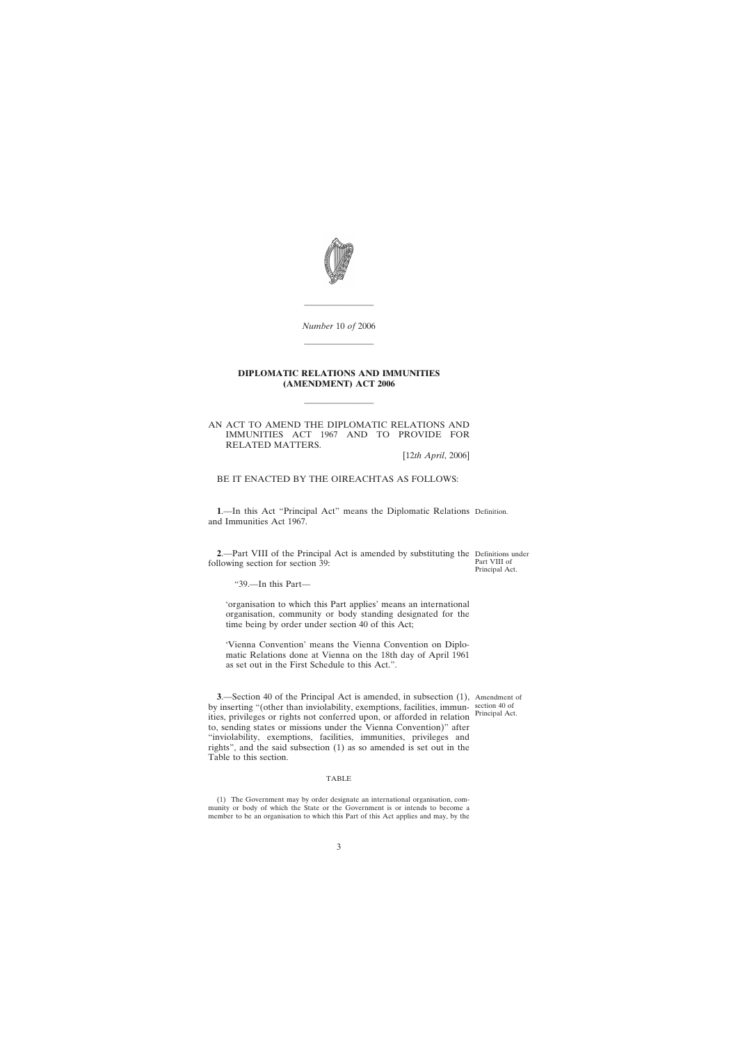<span id="page-2-0"></span>

*Number* 10 *of* 2006

————————

————————

## **DIPLOMATIC RELATIONS AND IMMUNITIES (AMENDMENT) ACT 2006**

————————

### AN ACT TO AMEND THE DIPLOMATIC RELATIONS AND IMMUNITIES ACT 1967 AND TO PROVIDE FOR RELATED MATTERS.

[12*th April*, 2006]

BE IT ENACTED BY THE OIREACHTAS AS FOLLOWS:

**1**.—In this Act "Principal Act" means the Diplomatic Relations Definition. and Immunities Act 1967.

**2**.—Part VIII of the Principal Act is amended by substituting the Definitions under following section for section 39:

Part VIII of Principal Act.

"39.—In this Part—

'organisation to which this Part applies' means an international organisation, community or body standing designated for the time being by order under section 40 of this Act;

'Vienna Convention' means the Vienna Convention on Diplomatic Relations done at Vienna on the 18th day of April 1961 as set out in the First Schedule to this Act.".

**3**.—Section 40 of the Principal Act is amended, in subsection (1), Amendment of by inserting "(other than inviolability, exemptions, facilities, immun-section 40 of ities, privileges or rights not conferred upon, or afforded in relation to, sending states or missions under the Vienna Convention)" after "inviolability, exemptions, facilities, immunities, privileges and rights", and the said subsection (1) as so amended is set out in the Table to this section.

# Principal Act.

#### TABLE

(1) The Government may by order designate an international organisation, community or body of which the State or the Government is or intends to become a member to be an organisation to which this Part of this Act applies and may, by the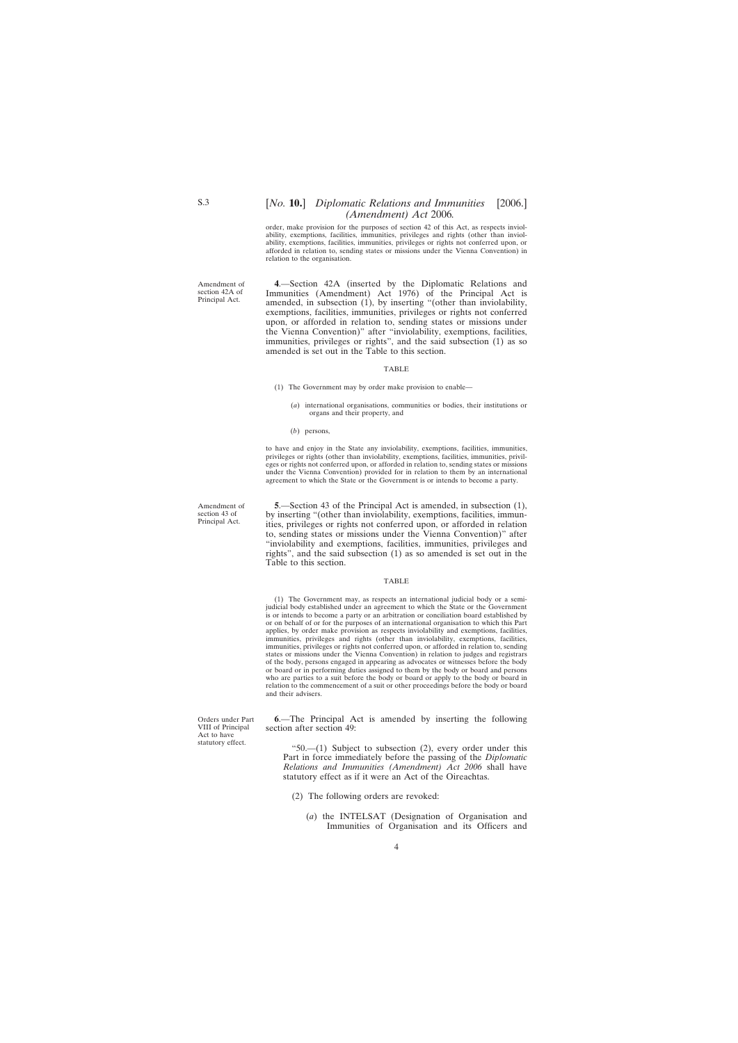## [*No.* **10.**] *Diplomatic Relations and Immunities* [2006.] *(Amendment) Act* 2006*.*

order, make provision for the purposes of section 42 of this Act, as respects inviolability, exemptions, facilities, immunities, privileges and rights (other than inviolability, exemptions, facilities, immunities, privileges or rights not conferred upon, or afforded in relation to, sending states or missions under the Vienna Convention) in relation to the organisation.

<span id="page-3-0"></span>Amendment of section 42A of Principal Act.

**4**.—Section 42A (inserted by the Diplomatic Relations and Immunities (Amendment) Act 1976) of the Principal Act is amended, in subsection (1), by inserting "(other than inviolability, exemptions, facilities, immunities, privileges or rights not conferred upon, or afforded in relation to, sending states or missions under the Vienna Convention)" after "inviolability, exemptions, facilities, immunities, privileges or rights", and the said subsection (1) as so amended is set out in the Table to this section.

#### TABLE

- (1) The Government may by order make provision to enable—
	- (*a*) international organisations, communities or bodies, their institutions or organs and their property, and
	- (*b*) persons,

to have and enjoy in the State any inviolability, exemptions, facilities, immunities, privileges or rights (other than inviolability, exemptions, facilities, immunities, privileges or rights not conferred upon, or afforded in relation to, sending states or missions under the Vienna Convention) provided for in relation to them by an international agreement to which the State or the Government is or intends to become a party.

**5**.—Section 43 of the Principal Act is amended, in subsection (1), by inserting "(other than inviolability, exemptions, facilities, immunities, privileges or rights not conferred upon, or afforded in relation to, sending states or missions under the Vienna Convention)" after "inviolability and exemptions, facilities, immunities, privileges and rights", and the said subsection (1) as so amended is set out in the Table to this section.

#### TABLE

(1) The Government may, as respects an international judicial body or a semijudicial body established under an agreement to which the State or the Government is or intends to become a party or an arbitration or conciliation board established by or on behalf of or for the purposes of an international organisation to which this Part applies, by order make provision as respects inviolability and exemptions, facilities, immunities, privileges and rights (other than inviolability, exemptions, facilities, immunities, privileges or rights not conferred upon, or afforded in relation to, sending states or missions under the Vienna Convention) in relation to judges and registrars of the body, persons engaged in appearing as advocates or witnesses before the body or board or in performing duties assigned to them by the body or board and persons who are parties to a suit before the body or board or apply to the body or board in relation to the commencement of a suit or other proceedings before the body or board and their advisers.

**6**.—The Principal Act is amended by inserting the following section after section 49:

"50.— $(1)$  Subject to subsection  $(2)$ , every order under this Part in force immediately before the passing of the *Diplomatic Relations and Immunities (Amendment) Act 2006* shall have statutory effect as if it were an Act of the Oireachtas.

- (2) The following orders are revoked:
	- (*a*) the INTELSAT (Designation of Organisation and Immunities of Organisation and its Officers and

Amendment of section 43 of Principal Act.

Orders under Part VIII of Principal Act to have statutory effect.